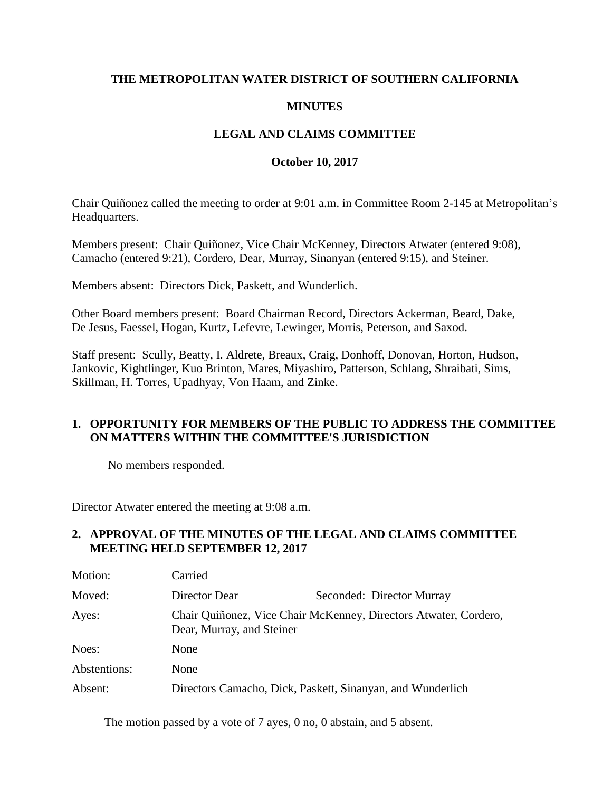## **THE METROPOLITAN WATER DISTRICT OF SOUTHERN CALIFORNIA**

### **MINUTES**

## **LEGAL AND CLAIMS COMMITTEE**

#### **October 10, 2017**

Chair Quiñonez called the meeting to order at 9:01 a.m. in Committee Room 2-145 at Metropolitan's Headquarters.

Members present: Chair Quiñonez, Vice Chair McKenney, Directors Atwater (entered 9:08), Camacho (entered 9:21), Cordero, Dear, Murray, Sinanyan (entered 9:15), and Steiner.

Members absent: Directors Dick, Paskett, and Wunderlich.

Other Board members present: Board Chairman Record, Directors Ackerman, Beard, Dake, De Jesus, Faessel, Hogan, Kurtz, Lefevre, Lewinger, Morris, Peterson, and Saxod.

Staff present: Scully, Beatty, I. Aldrete, Breaux, Craig, Donhoff, Donovan, Horton, Hudson, Jankovic, Kightlinger, Kuo Brinton, Mares, Miyashiro, Patterson, Schlang, Shraibati, Sims, Skillman, H. Torres, Upadhyay, Von Haam, and Zinke.

### **1. OPPORTUNITY FOR MEMBERS OF THE PUBLIC TO ADDRESS THE COMMITTEE ON MATTERS WITHIN THE COMMITTEE'S JURISDICTION**

No members responded.

Director Atwater entered the meeting at 9:08 a.m.

## **2. APPROVAL OF THE MINUTES OF THE LEGAL AND CLAIMS COMMITTEE MEETING HELD SEPTEMBER 12, 2017**

| Motion:      | Carried                                                                                       |                                                            |
|--------------|-----------------------------------------------------------------------------------------------|------------------------------------------------------------|
| Moved:       | Director Dear                                                                                 | Seconded: Director Murray                                  |
| Ayes:        | Chair Quiñonez, Vice Chair McKenney, Directors Atwater, Cordero,<br>Dear, Murray, and Steiner |                                                            |
| Noes:        | None                                                                                          |                                                            |
| Abstentions: | None                                                                                          |                                                            |
| Absent:      |                                                                                               | Directors Camacho, Dick, Paskett, Sinanyan, and Wunderlich |

The motion passed by a vote of 7 ayes, 0 no, 0 abstain, and 5 absent.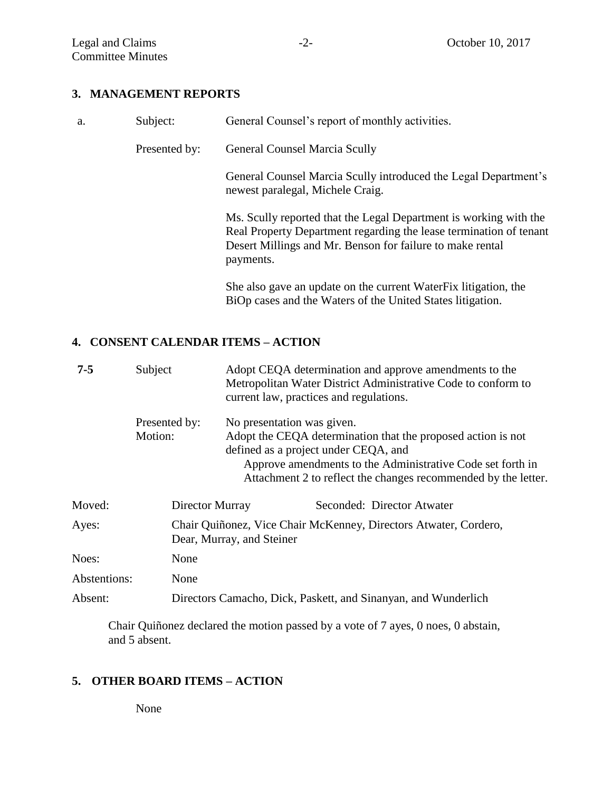#### **3. MANAGEMENT REPORTS**

| a. | Subject:      | General Counsel's report of monthly activities.                                                                                                                                                                   |
|----|---------------|-------------------------------------------------------------------------------------------------------------------------------------------------------------------------------------------------------------------|
|    | Presented by: | <b>General Counsel Marcia Scully</b>                                                                                                                                                                              |
|    |               | General Counsel Marcia Scully introduced the Legal Department's<br>newest paralegal, Michele Craig.                                                                                                               |
|    |               | Ms. Scully reported that the Legal Department is working with the<br>Real Property Department regarding the lease termination of tenant<br>Desert Millings and Mr. Benson for failure to make rental<br>payments. |
|    |               | She also gave an update on the current WaterFix litigation, the<br>BiOp cases and the Waters of the United States litigation.                                                                                     |

# **4. CONSENT CALENDAR ITEMS – ACTION**

| $7 - 5$      | Subject       |                                                                                               | Adopt CEQA determination and approve amendments to the<br>Metropolitan Water District Administrative Code to conform to<br>current law, practices and regulations. |
|--------------|---------------|-----------------------------------------------------------------------------------------------|--------------------------------------------------------------------------------------------------------------------------------------------------------------------|
|              | Presented by: |                                                                                               | No presentation was given.                                                                                                                                         |
|              | Motion:       |                                                                                               | Adopt the CEQA determination that the proposed action is not<br>defined as a project under CEQA, and<br>Approve amendments to the Administrative Code set forth in |
|              |               |                                                                                               | Attachment 2 to reflect the changes recommended by the letter.                                                                                                     |
| Moved:       |               | Director Murray                                                                               | Seconded: Director Atwater                                                                                                                                         |
| Ayes:        |               | Chair Quiñonez, Vice Chair McKenney, Directors Atwater, Cordero,<br>Dear, Murray, and Steiner |                                                                                                                                                                    |
| Noes:        | None          |                                                                                               |                                                                                                                                                                    |
| Abstentions: | None          |                                                                                               |                                                                                                                                                                    |
| Absent:      |               |                                                                                               | Directors Camacho, Dick, Paskett, and Sinanyan, and Wunderlich                                                                                                     |

Chair Quiñonez declared the motion passed by a vote of 7 ayes, 0 noes, 0 abstain, and 5 absent.

# **5. OTHER BOARD ITEMS – ACTION**

None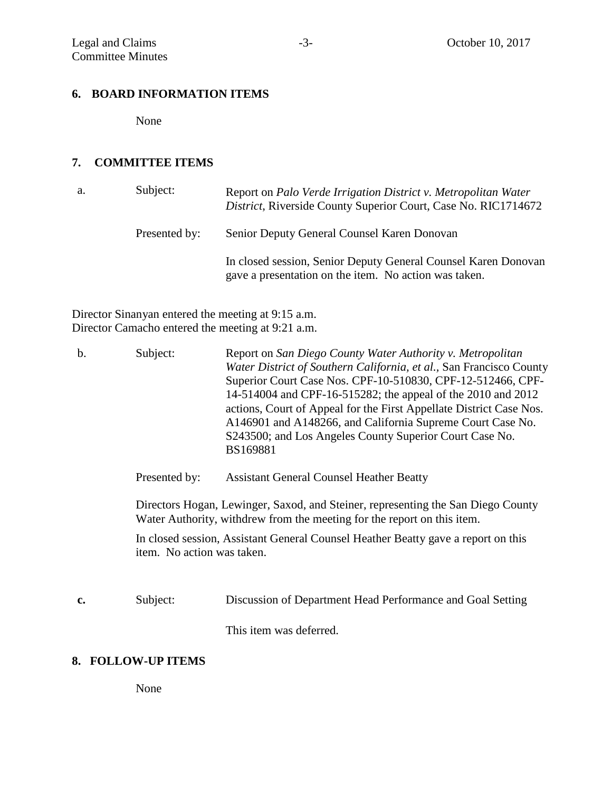#### **6. BOARD INFORMATION ITEMS**

None

# **7. COMMITTEE ITEMS**

| a. | Subject:      | Report on Palo Verde Irrigation District v. Metropolitan Water<br>District, Riverside County Superior Court, Case No. RIC1714672 |
|----|---------------|----------------------------------------------------------------------------------------------------------------------------------|
|    | Presented by: | Senior Deputy General Counsel Karen Donovan                                                                                      |
|    |               | In closed session, Senior Deputy General Counsel Karen Donovan<br>gave a presentation on the item. No action was taken.          |

Director Sinanyan entered the meeting at 9:15 a.m. Director Camacho entered the meeting at 9:21 a.m.

| $\mathbf b$ . | Subject:                                                                                                                                                    | Report on San Diego County Water Authority v. Metropolitan<br>Water District of Southern California, et al., San Francisco County<br>Superior Court Case Nos. CPF-10-510830, CPF-12-512466, CPF-<br>14-514004 and CPF-16-515282; the appeal of the 2010 and 2012<br>actions, Court of Appeal for the First Appellate District Case Nos.<br>A146901 and A148266, and California Supreme Court Case No.<br>S243500; and Los Angeles County Superior Court Case No.<br>BS169881 |  |  |
|---------------|-------------------------------------------------------------------------------------------------------------------------------------------------------------|------------------------------------------------------------------------------------------------------------------------------------------------------------------------------------------------------------------------------------------------------------------------------------------------------------------------------------------------------------------------------------------------------------------------------------------------------------------------------|--|--|
|               | Presented by:                                                                                                                                               | <b>Assistant General Counsel Heather Beatty</b>                                                                                                                                                                                                                                                                                                                                                                                                                              |  |  |
|               | Directors Hogan, Lewinger, Saxod, and Steiner, representing the San Diego County<br>Water Authority, withdrew from the meeting for the report on this item. |                                                                                                                                                                                                                                                                                                                                                                                                                                                                              |  |  |
|               | In closed session, Assistant General Counsel Heather Beatty gave a report on this<br>item. No action was taken.                                             |                                                                                                                                                                                                                                                                                                                                                                                                                                                                              |  |  |
| c.            | Subject:                                                                                                                                                    | Discussion of Department Head Performance and Goal Setting                                                                                                                                                                                                                                                                                                                                                                                                                   |  |  |
|               |                                                                                                                                                             | This item was deferred.                                                                                                                                                                                                                                                                                                                                                                                                                                                      |  |  |
| 0.            | EALL AW ID ITEMS                                                                                                                                            |                                                                                                                                                                                                                                                                                                                                                                                                                                                                              |  |  |

#### **8. FOLLOW-UP ITEMS**

None